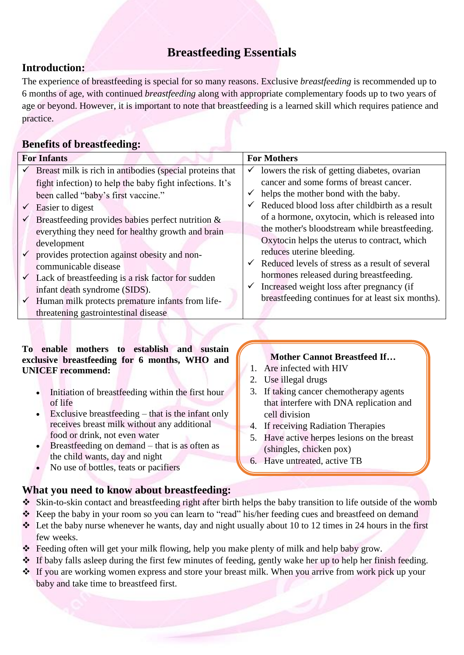# **Breastfeeding Essentials**

## **Introduction:**

The experience of breastfeeding is special for so many reasons. Exclusive *breastfeeding* is recommended up to 6 months of age, with continued *breastfeeding* along with appropriate complementary foods up to two years of age or beyond. However, it is important to note that breastfeeding is a learned skill which requires patience and practice.

### **Benefits of breastfeeding:**

| <b>For Infants</b> |                                                                | <b>For Mothers</b> |                                                   |
|--------------------|----------------------------------------------------------------|--------------------|---------------------------------------------------|
| $\checkmark$       | Breast milk is rich in antibodies (special proteins that       | v                  | lowers the risk of getting diabetes, ovarian      |
|                    | fight infection) to help the baby fight infections. It's       |                    | cancer and some forms of breast cancer.           |
|                    | been called "baby's first vaccine."                            | ✓                  | helps the mother bond with the baby.              |
| $\checkmark$       | Easier to digest                                               |                    | Reduced blood loss after childbirth as a result   |
| $\checkmark$       | Breastfeeding provides babies perfect nutrition $\&$           |                    | of a hormone, oxytocin, which is released into    |
|                    | everything they need for healthy growth and brain              |                    | the mother's bloodstream while breastfeeding.     |
|                    | development                                                    |                    | Oxytocin helps the uterus to contract, which      |
| $\checkmark$       | provides protection against obesity and non-                   |                    | reduces uterine bleeding.                         |
|                    | communicable disease                                           |                    | Reduced levels of stress as a result of several   |
|                    | $\checkmark$ Lack of breastfeeding is a risk factor for sudden |                    | hormones released during breastfeeding.           |
|                    | infant death syndrome (SIDS).                                  |                    | Increased weight loss after pregnancy (if         |
| $\checkmark$       | Human milk protects premature infants from life-               |                    | breastfeeding continues for at least six months). |
|                    | threatening gastrointestinal disease                           |                    |                                                   |

### **To enable mothers to establish and sustain exclusive breastfeeding for 6 months, WHO and UNICEF recommend:**

- Initiation of breastfeeding within the first hour of life
- Exclusive breastfeeding  $-$  that is the infant only receives breast milk without any additional food or drink, not even water
- Breastfeeding on demand that is as often as the child wants, day and night

**What you need to know about breastfeeding:**

No use of bottles, teats or pacifiers

### **Mother Cannot Breastfeed If…**

- 1. Are infected with HIV
- 2. Use illegal drugs
- 3. If taking cancer chemotherapy agents that interfere with DNA replication and cell division
- 4. If receiving Radiation Therapies
- 5. Have active herpes lesions on the breast (shingles, chicken pox)
- 6. Have untreated, active TB
- Skin-to-skin contact and breastfeeding right after birth helps the baby transition to life outside of the womb
- \* Keep the baby in your room so you can learn to "read" his/her feeding cues and breastfeed on demand
- $\triangle$  Let the baby nurse whenever he wants, day and night usually about 10 to 12 times in 24 hours in the first few weeks.
- Feeding often will get your milk flowing, help you make plenty of milk and help baby grow.
- $\cdot \cdot$  If baby falls asleep during the first few minutes of feeding, gently wake her up to help her finish feeding.
- \* If you are working women express and store your breast milk. When you arrive from work pick up your baby and take time to breastfeed first.